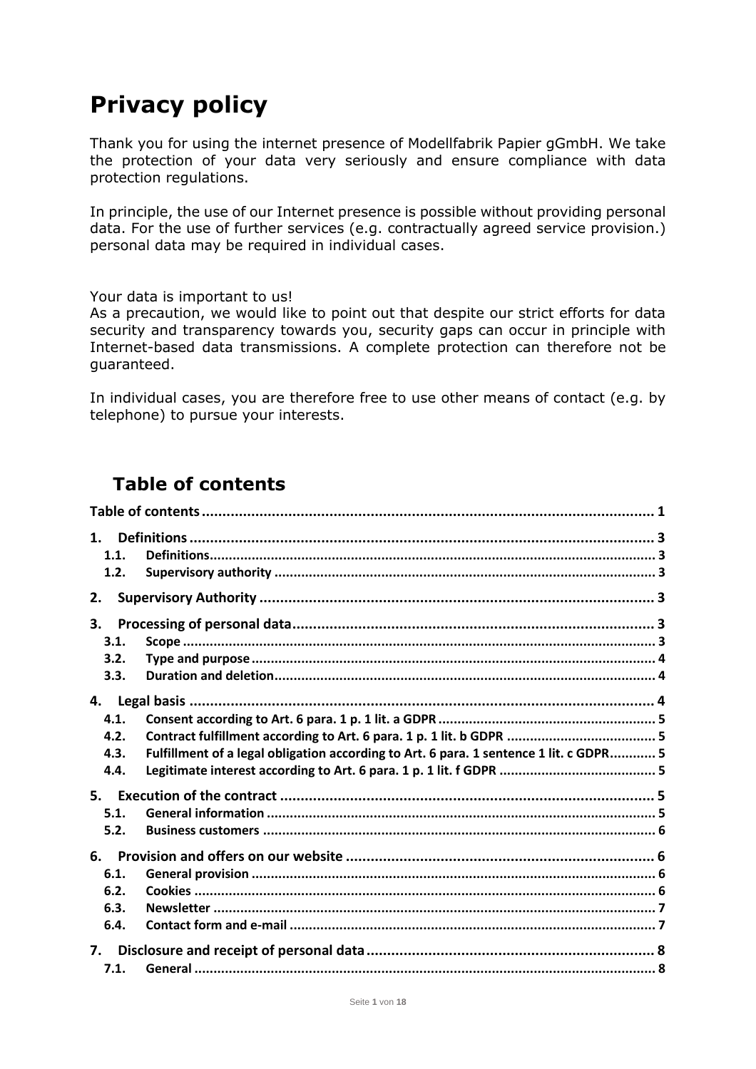# **Privacy policy**

Thank you for using the internet presence of Modellfabrik Papier gGmbH. We take the protection of your data very seriously and ensure compliance with data protection regulations.

In principle, the use of our Internet presence is possible without providing personal data. For the use of further services (e.g. contractually agreed service provision.) personal data may be required in individual cases.

Your data is important to us!

As a precaution, we would like to point out that despite our strict efforts for data security and transparency towards you, security gaps can occur in principle with Internet-based data transmissions. A complete protection can therefore not be guaranteed.

In individual cases, you are therefore free to use other means of contact (e.g. by telephone) to pursue your interests.

# <span id="page-0-0"></span>**Table of contents**

| 1.1. |                                                                                        |  |  |
|------|----------------------------------------------------------------------------------------|--|--|
| 1.2. |                                                                                        |  |  |
| 2.   |                                                                                        |  |  |
| 3.   |                                                                                        |  |  |
| 3.1. |                                                                                        |  |  |
| 3.2. |                                                                                        |  |  |
| 3.3. |                                                                                        |  |  |
|      |                                                                                        |  |  |
| 4.1. |                                                                                        |  |  |
| 4.2. |                                                                                        |  |  |
| 4.3. | Fulfillment of a legal obligation according to Art. 6 para. 1 sentence 1 lit. c GDPR 5 |  |  |
| 4.4. |                                                                                        |  |  |
|      |                                                                                        |  |  |
| 5.1. |                                                                                        |  |  |
| 5.2. |                                                                                        |  |  |
|      |                                                                                        |  |  |
| 6.1. |                                                                                        |  |  |
| 6.2. |                                                                                        |  |  |
| 6.3. |                                                                                        |  |  |
| 6.4. |                                                                                        |  |  |
| 7.   |                                                                                        |  |  |
| 7.1. |                                                                                        |  |  |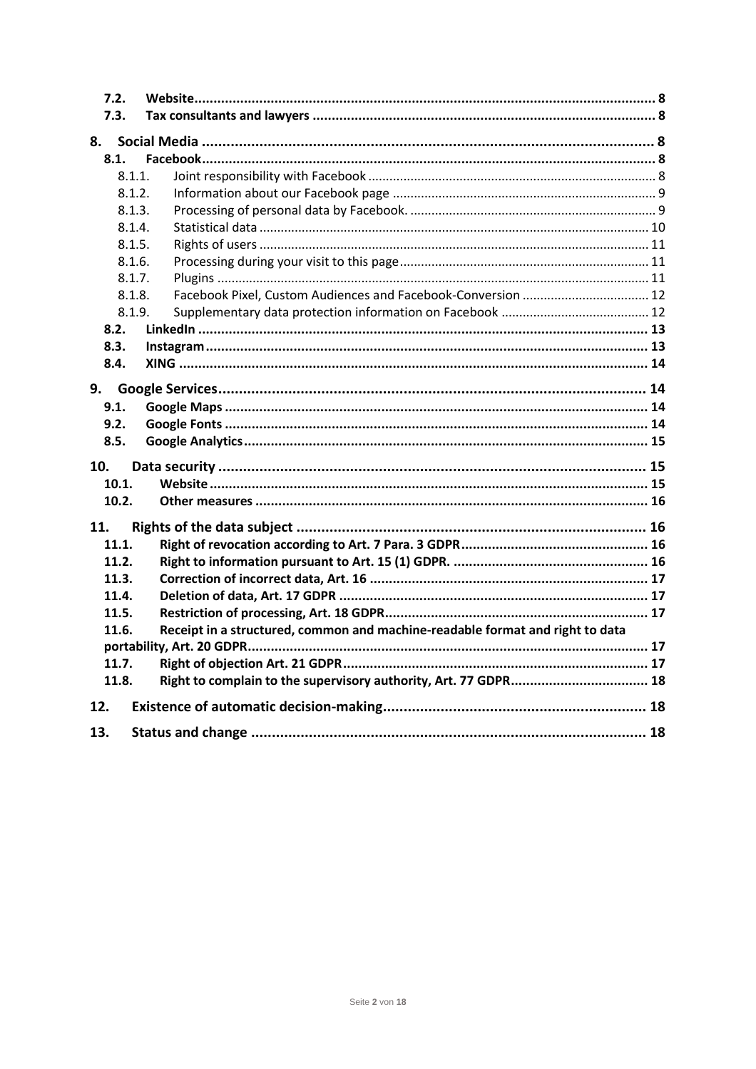| 7.2.<br>7.3. |                                                                               |  |
|--------------|-------------------------------------------------------------------------------|--|
| 8.           |                                                                               |  |
| 8.1.         |                                                                               |  |
|              | 8.1.1.                                                                        |  |
|              | 8.1.2.                                                                        |  |
|              | 8.1.3.                                                                        |  |
|              | 8.1.4.                                                                        |  |
|              | 8.1.5.                                                                        |  |
|              | 8.1.6.                                                                        |  |
|              | 8.1.7.                                                                        |  |
|              | 8.1.8.                                                                        |  |
|              | 8.1.9.                                                                        |  |
| 8.2.         |                                                                               |  |
| 8.3.         |                                                                               |  |
| 8.4.         |                                                                               |  |
|              |                                                                               |  |
| 9.           |                                                                               |  |
| 9.1.         |                                                                               |  |
| 9.2.         |                                                                               |  |
| 8.5.         |                                                                               |  |
| 10.          |                                                                               |  |
| 10.1.        |                                                                               |  |
| 10.2.        |                                                                               |  |
| 11.          |                                                                               |  |
| 11.1.        |                                                                               |  |
| 11.2.        |                                                                               |  |
| 11.3.        |                                                                               |  |
| 11.4.        |                                                                               |  |
| 11.5.        |                                                                               |  |
| 11.6.        | Receipt in a structured, common and machine-readable format and right to data |  |
|              |                                                                               |  |
| 11.7.        |                                                                               |  |
| 11.8.        | Right to complain to the supervisory authority, Art. 77 GDPR 18               |  |
| 12.          |                                                                               |  |
| 13.          |                                                                               |  |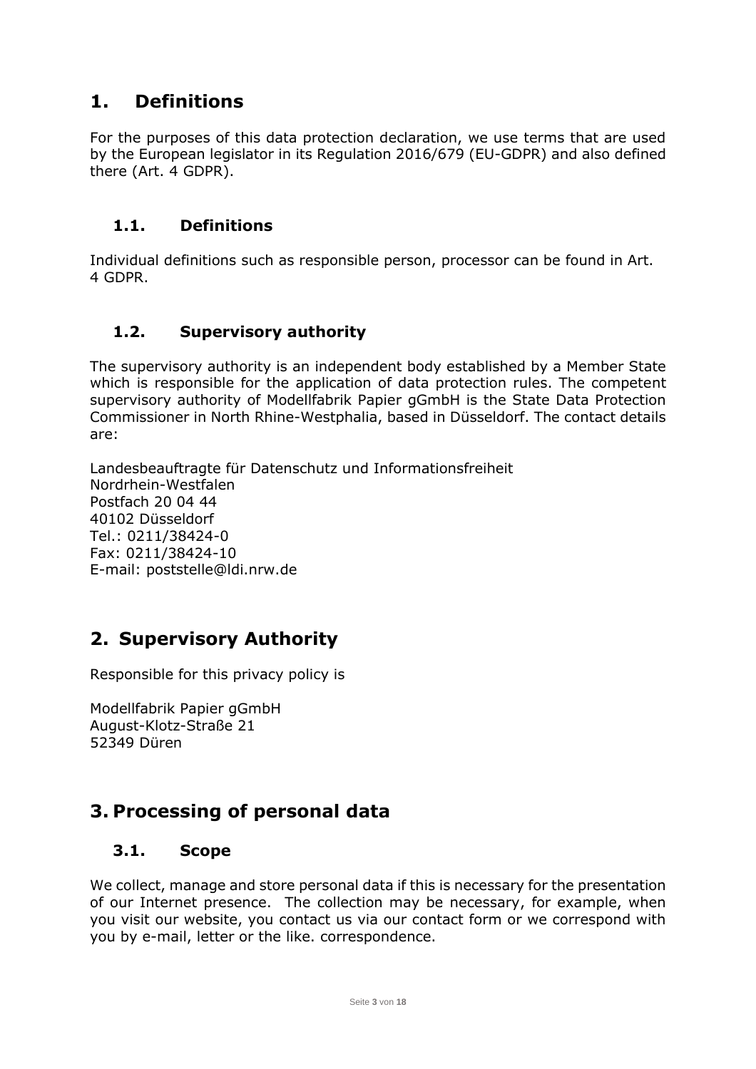# <span id="page-2-0"></span>**1. Definitions**

For the purposes of this data protection declaration, we use terms that are used by the European legislator in its Regulation 2016/679 (EU-GDPR) and also defined there (Art. 4 GDPR).

### <span id="page-2-1"></span>**1.1. Definitions**

Individual definitions such as responsible person, processor can be found in Art. 4 GDPR.

# <span id="page-2-2"></span>**1.2. Supervisory authority**

The supervisory authority is an independent body established by a Member State which is responsible for the application of data protection rules. The competent supervisory authority of Modellfabrik Papier gGmbH is the State Data Protection Commissioner in North Rhine-Westphalia, based in Düsseldorf. The contact details are:

Landesbeauftragte für Datenschutz und Informationsfreiheit Nordrhein-Westfalen Postfach 20 04 44 40102 Düsseldorf Tel.: 0211/38424-0 Fax: 0211/38424-10 E-mail: poststelle@ldi.nrw.de

# <span id="page-2-3"></span>**2. Supervisory Authority**

Responsible for this privacy policy is

Modellfabrik Papier gGmbH August-Klotz-Straße 21 52349 Düren

# <span id="page-2-4"></span>**3. Processing of personal data**

#### <span id="page-2-5"></span>**3.1. Scope**

We collect, manage and store personal data if this is necessary for the presentation of our Internet presence. The collection may be necessary, for example, when you visit our website, you contact us via our contact form or we correspond with you by e-mail, letter or the like. correspondence.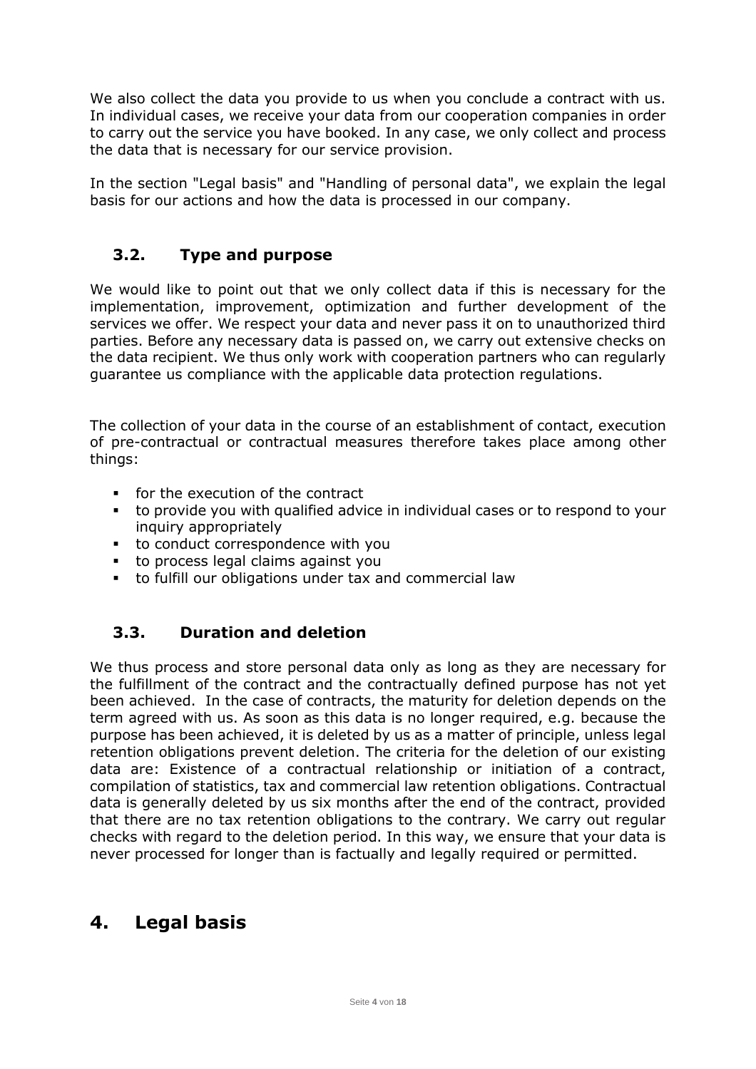We also collect the data you provide to us when you conclude a contract with us. In individual cases, we receive your data from our cooperation companies in order to carry out the service you have booked. In any case, we only collect and process the data that is necessary for our service provision.

In the section "Legal basis" and "Handling of personal data", we explain the legal basis for our actions and how the data is processed in our company.

# <span id="page-3-0"></span>**3.2. Type and purpose**

We would like to point out that we only collect data if this is necessary for the implementation, improvement, optimization and further development of the services we offer. We respect your data and never pass it on to unauthorized third parties. Before any necessary data is passed on, we carry out extensive checks on the data recipient. We thus only work with cooperation partners who can regularly guarantee us compliance with the applicable data protection regulations.

The collection of your data in the course of an establishment of contact, execution of pre-contractual or contractual measures therefore takes place among other things:

- for the execution of the contract
- to provide you with qualified advice in individual cases or to respond to your inquiry appropriately
- to conduct correspondence with you
- to process legal claims against you
- to fulfill our obligations under tax and commercial law

# <span id="page-3-1"></span>**3.3. Duration and deletion**

We thus process and store personal data only as long as they are necessary for the fulfillment of the contract and the contractually defined purpose has not yet been achieved. In the case of contracts, the maturity for deletion depends on the term agreed with us. As soon as this data is no longer required, e.g. because the purpose has been achieved, it is deleted by us as a matter of principle, unless legal retention obligations prevent deletion. The criteria for the deletion of our existing data are: Existence of a contractual relationship or initiation of a contract, compilation of statistics, tax and commercial law retention obligations. Contractual data is generally deleted by us six months after the end of the contract, provided that there are no tax retention obligations to the contrary. We carry out regular checks with regard to the deletion period. In this way, we ensure that your data is never processed for longer than is factually and legally required or permitted.

# <span id="page-3-2"></span>**4. Legal basis**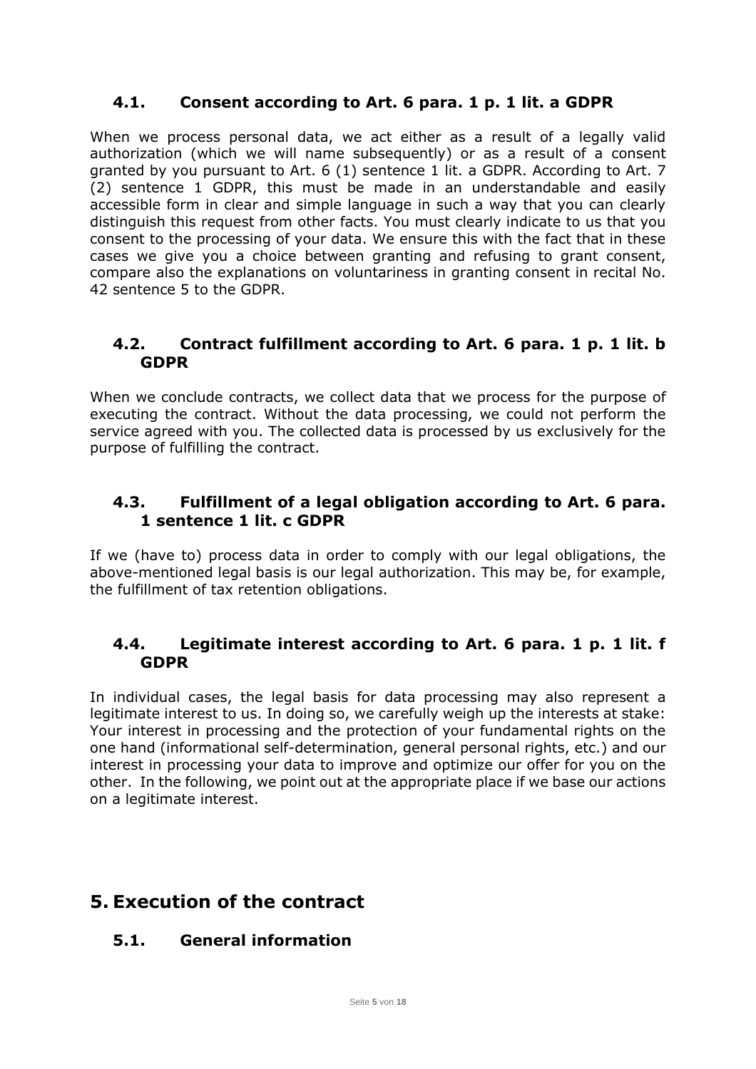# <span id="page-4-0"></span>**4.1. Consent according to Art. 6 para. 1 p. 1 lit. a GDPR**

When we process personal data, we act either as a result of a legally valid authorization (which we will name subsequently) or as a result of a consent granted by you pursuant to Art. 6 (1) sentence 1 lit. a GDPR. According to Art. 7 (2) sentence 1 GDPR, this must be made in an understandable and easily accessible form in clear and simple language in such a way that you can clearly distinguish this request from other facts. You must clearly indicate to us that you consent to the processing of your data. We ensure this with the fact that in these cases we give you a choice between granting and refusing to grant consent, compare also the explanations on voluntariness in granting consent in recital No. 42 sentence 5 to the GDPR.

#### <span id="page-4-1"></span>**4.2. Contract fulfillment according to Art. 6 para. 1 p. 1 lit. b GDPR**

When we conclude contracts, we collect data that we process for the purpose of executing the contract. Without the data processing, we could not perform the service agreed with you. The collected data is processed by us exclusively for the purpose of fulfilling the contract.

### <span id="page-4-2"></span>**4.3. Fulfillment of a legal obligation according to Art. 6 para. 1 sentence 1 lit. c GDPR**

If we (have to) process data in order to comply with our legal obligations, the above-mentioned legal basis is our legal authorization. This may be, for example, the fulfillment of tax retention obligations.

#### <span id="page-4-3"></span>**4.4. Legitimate interest according to Art. 6 para. 1 p. 1 lit. f GDPR**

In individual cases, the legal basis for data processing may also represent a legitimate interest to us. In doing so, we carefully weigh up the interests at stake: Your interest in processing and the protection of your fundamental rights on the one hand (informational self-determination, general personal rights, etc.) and our interest in processing your data to improve and optimize our offer for you on the other. In the following, we point out at the appropriate place if we base our actions on a legitimate interest.

# <span id="page-4-4"></span>**5. Execution of the contract**

# <span id="page-4-5"></span>**5.1. General information**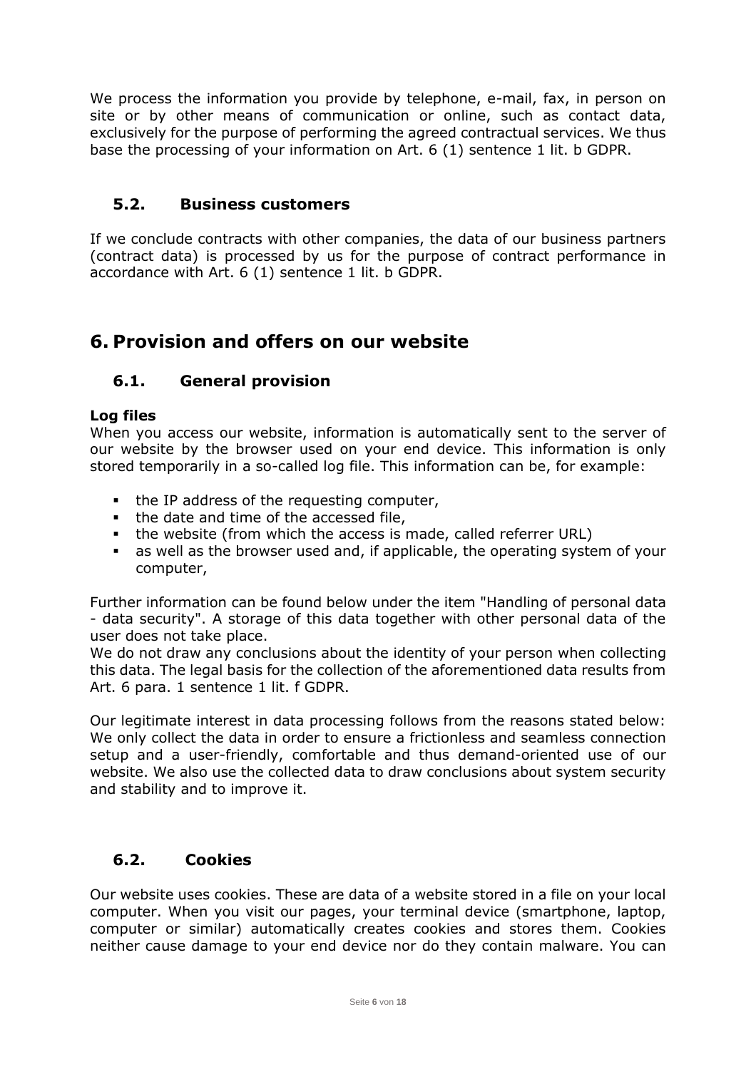We process the information you provide by telephone, e-mail, fax, in person on site or by other means of communication or online, such as contact data, exclusively for the purpose of performing the agreed contractual services. We thus base the processing of your information on Art. 6 (1) sentence 1 lit. b GDPR.

#### <span id="page-5-0"></span>**5.2. Business customers**

If we conclude contracts with other companies, the data of our business partners (contract data) is processed by us for the purpose of contract performance in accordance with Art. 6 (1) sentence 1 lit. b GDPR.

# <span id="page-5-1"></span>**6. Provision and offers on our website**

#### <span id="page-5-2"></span>**6.1. General provision**

#### **Log files**

When you access our website, information is automatically sent to the server of our website by the browser used on your end device. This information is only stored temporarily in a so-called log file. This information can be, for example:

- the IP address of the requesting computer,
- the date and time of the accessed file,
- the website (from which the access is made, called referrer URL)
- as well as the browser used and, if applicable, the operating system of your computer,

Further information can be found below under the item "Handling of personal data - data security". A storage of this data together with other personal data of the user does not take place.

We do not draw any conclusions about the identity of your person when collecting this data. The legal basis for the collection of the aforementioned data results from Art. 6 para. 1 sentence 1 lit. f GDPR.

Our legitimate interest in data processing follows from the reasons stated below: We only collect the data in order to ensure a frictionless and seamless connection setup and a user-friendly, comfortable and thus demand-oriented use of our website. We also use the collected data to draw conclusions about system security and stability and to improve it.

# <span id="page-5-3"></span>**6.2. Cookies**

Our website uses cookies. These are data of a website stored in a file on your local computer. When you visit our pages, your terminal device (smartphone, laptop, computer or similar) automatically creates cookies and stores them. Cookies neither cause damage to your end device nor do they contain malware. You can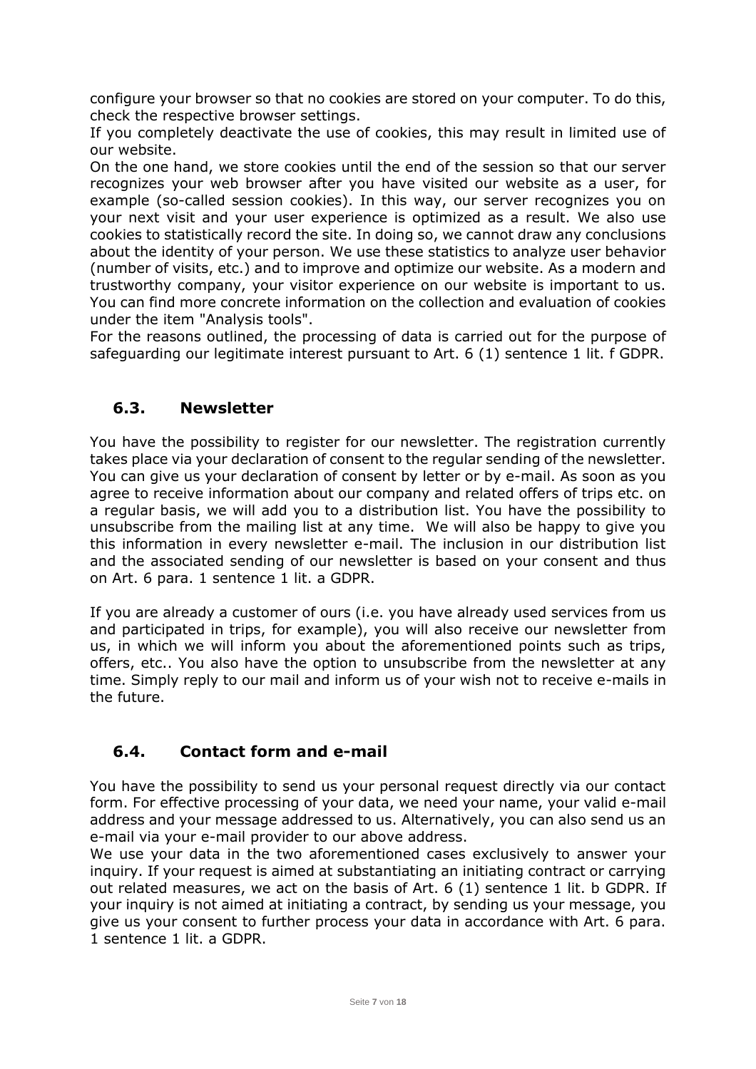configure your browser so that no cookies are stored on your computer. To do this, check the respective browser settings.

If you completely deactivate the use of cookies, this may result in limited use of our website.

On the one hand, we store cookies until the end of the session so that our server recognizes your web browser after you have visited our website as a user, for example (so-called session cookies). In this way, our server recognizes you on your next visit and your user experience is optimized as a result. We also use cookies to statistically record the site. In doing so, we cannot draw any conclusions about the identity of your person. We use these statistics to analyze user behavior (number of visits, etc.) and to improve and optimize our website. As a modern and trustworthy company, your visitor experience on our website is important to us. You can find more concrete information on the collection and evaluation of cookies under the item "Analysis tools".

For the reasons outlined, the processing of data is carried out for the purpose of safeguarding our legitimate interest pursuant to Art. 6 (1) sentence 1 lit. f GDPR.

#### <span id="page-6-0"></span>**6.3. Newsletter**

You have the possibility to register for our newsletter. The registration currently takes place via your declaration of consent to the regular sending of the newsletter. You can give us your declaration of consent by letter or by e-mail. As soon as you agree to receive information about our company and related offers of trips etc. on a regular basis, we will add you to a distribution list. You have the possibility to unsubscribe from the mailing list at any time. We will also be happy to give you this information in every newsletter e-mail. The inclusion in our distribution list and the associated sending of our newsletter is based on your consent and thus on Art. 6 para. 1 sentence 1 lit. a GDPR.

If you are already a customer of ours (i.e. you have already used services from us and participated in trips, for example), you will also receive our newsletter from us, in which we will inform you about the aforementioned points such as trips, offers, etc.. You also have the option to unsubscribe from the newsletter at any time. Simply reply to our mail and inform us of your wish not to receive e-mails in the future.

# <span id="page-6-1"></span>**6.4. Contact form and e-mail**

You have the possibility to send us your personal request directly via our contact form. For effective processing of your data, we need your name, your valid e-mail address and your message addressed to us. Alternatively, you can also send us an e-mail via your e-mail provider to our above address.

We use your data in the two aforementioned cases exclusively to answer your inquiry. If your request is aimed at substantiating an initiating contract or carrying out related measures, we act on the basis of Art. 6 (1) sentence 1 lit. b GDPR. If your inquiry is not aimed at initiating a contract, by sending us your message, you give us your consent to further process your data in accordance with Art. 6 para. 1 sentence 1 lit. a GDPR.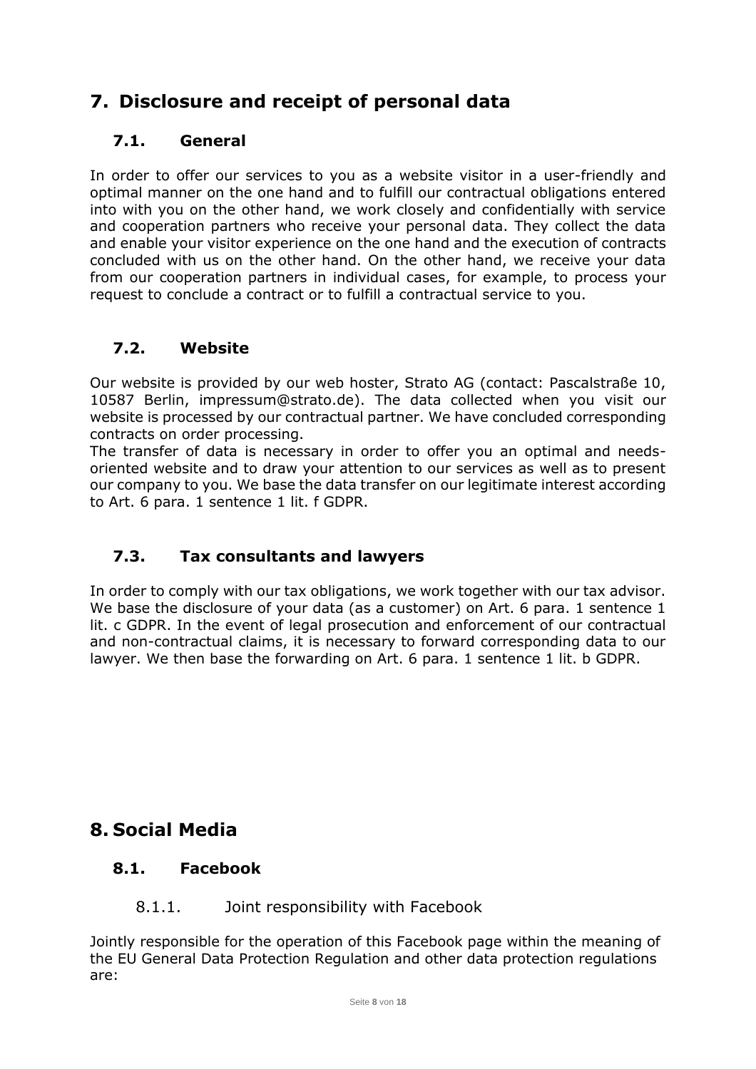# <span id="page-7-0"></span>**7. Disclosure and receipt of personal data**

# <span id="page-7-1"></span>**7.1. General**

In order to offer our services to you as a website visitor in a user-friendly and optimal manner on the one hand and to fulfill our contractual obligations entered into with you on the other hand, we work closely and confidentially with service and cooperation partners who receive your personal data. They collect the data and enable your visitor experience on the one hand and the execution of contracts concluded with us on the other hand. On the other hand, we receive your data from our cooperation partners in individual cases, for example, to process your request to conclude a contract or to fulfill a contractual service to you.

# <span id="page-7-2"></span>**7.2. Website**

Our website is provided by our web hoster, Strato AG (contact: Pascalstraße 10, 10587 Berlin, impressum@strato.de). The data collected when you visit our website is processed by our contractual partner. We have concluded corresponding contracts on order processing.

The transfer of data is necessary in order to offer you an optimal and needsoriented website and to draw your attention to our services as well as to present our company to you. We base the data transfer on our legitimate interest according to Art. 6 para. 1 sentence 1 lit. f GDPR.

# <span id="page-7-3"></span>**7.3. Tax consultants and lawyers**

In order to comply with our tax obligations, we work together with our tax advisor. We base the disclosure of your data (as a customer) on Art. 6 para. 1 sentence 1 lit. c GDPR. In the event of legal prosecution and enforcement of our contractual and non-contractual claims, it is necessary to forward corresponding data to our lawyer. We then base the forwarding on Art. 6 para. 1 sentence 1 lit. b GDPR.

# <span id="page-7-4"></span>**8. Social Media**

# <span id="page-7-5"></span>**8.1. Facebook**

#### 8.1.1. Joint responsibility with Facebook

<span id="page-7-6"></span>Jointly responsible for the operation of this Facebook page within the meaning of the EU General Data Protection Regulation and other data protection regulations are: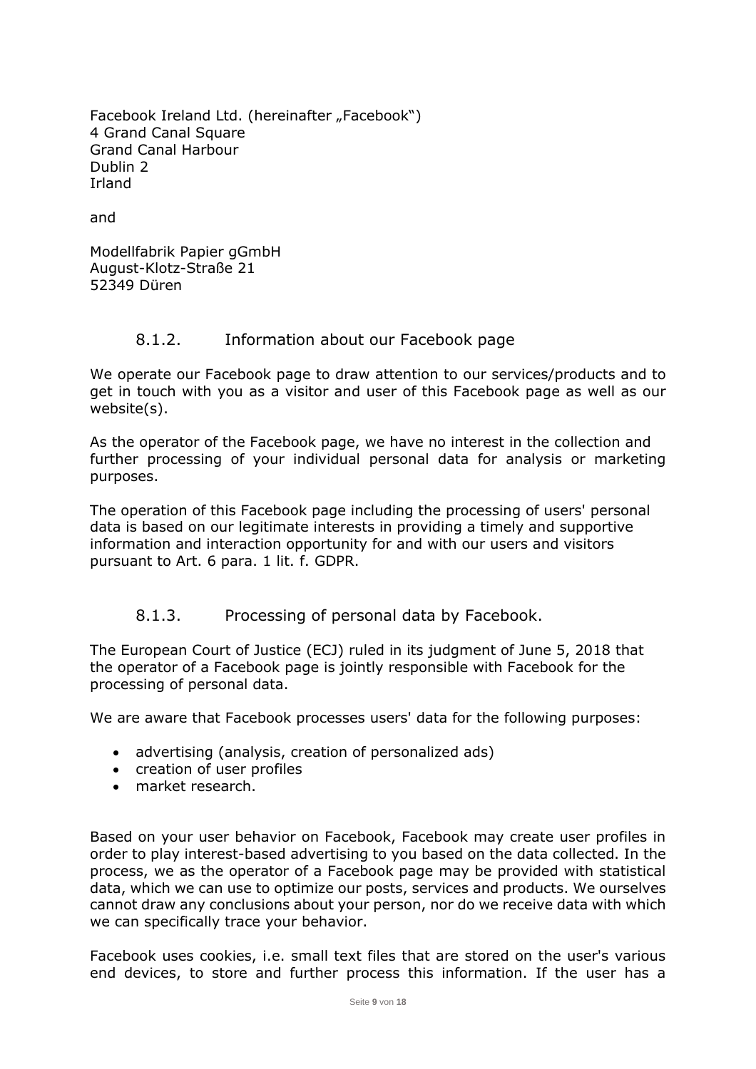Facebook Ireland Ltd. (hereinafter "Facebook") 4 Grand Canal Square Grand Canal Harbour Dublin 2 Irland

and

Modellfabrik Papier gGmbH August-Klotz-Straße 21 52349 Düren

#### 8.1.2. Information about our Facebook page

<span id="page-8-0"></span>We operate our Facebook page to draw attention to our services/products and to get in touch with you as a visitor and user of this Facebook page as well as our website(s).

As the operator of the Facebook page, we have no interest in the collection and further processing of your individual personal data for analysis or marketing purposes.

The operation of this Facebook page including the processing of users' personal data is based on our legitimate interests in providing a timely and supportive information and interaction opportunity for and with our users and visitors pursuant to Art. 6 para. 1 lit. f. GDPR.

#### 8.1.3. Processing of personal data by Facebook.

<span id="page-8-1"></span>The European Court of Justice (ECJ) ruled in its judgment of June 5, 2018 that the operator of a Facebook page is jointly responsible with Facebook for the processing of personal data.

We are aware that Facebook processes users' data for the following purposes:

- advertising (analysis, creation of personalized ads)
- creation of user profiles
- market research.

Based on your user behavior on Facebook, Facebook may create user profiles in order to play interest-based advertising to you based on the data collected. In the process, we as the operator of a Facebook page may be provided with statistical data, which we can use to optimize our posts, services and products. We ourselves cannot draw any conclusions about your person, nor do we receive data with which we can specifically trace your behavior.

Facebook uses cookies, i.e. small text files that are stored on the user's various end devices, to store and further process this information. If the user has a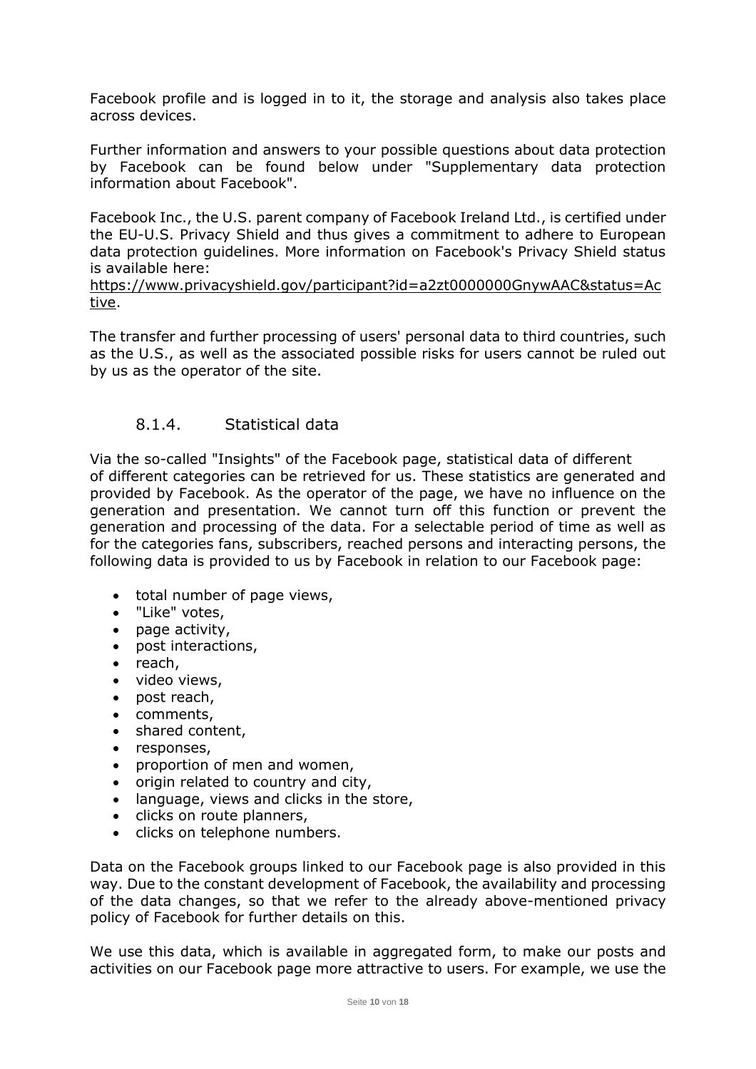Facebook profile and is logged in to it, the storage and analysis also takes place across devices.

Further information and answers to your possible questions about data protection by Facebook can be found below under "Supplementary data protection information about Facebook".

Facebook Inc., the U.S. parent company of Facebook Ireland Ltd., is certified under the EU-U.S. Privacy Shield and thus gives a commitment to adhere to European data protection guidelines. More information on Facebook's Privacy Shield status is available here:

[https://www.privacyshield.gov/participant?id=a2zt0000000GnywAAC&status=Ac](https://www.privacyshield.gov/participant?id=a2zt0000000GnywAAC&status=Active) [tive.](https://www.privacyshield.gov/participant?id=a2zt0000000GnywAAC&status=Active)

The transfer and further processing of users' personal data to third countries, such as the U.S., as well as the associated possible risks for users cannot be ruled out by us as the operator of the site.

#### 8.1.4. Statistical data

<span id="page-9-0"></span>Via the so-called "Insights" of the Facebook page, statistical data of different of different categories can be retrieved for us. These statistics are generated and provided by Facebook. As the operator of the page, we have no influence on the generation and presentation. We cannot turn off this function or prevent the generation and processing of the data. For a selectable period of time as well as for the categories fans, subscribers, reached persons and interacting persons, the following data is provided to us by Facebook in relation to our Facebook page:

- total number of page views,
- "Like" votes,
- page activity,
- post interactions,
- reach,
- video views,
- post reach,
- comments,
- shared content,
- responses,
- proportion of men and women,
- origin related to country and city,
- language, views and clicks in the store,
- clicks on route planners,
- clicks on telephone numbers.

Data on the Facebook groups linked to our Facebook page is also provided in this way. Due to the constant development of Facebook, the availability and processing of the data changes, so that we refer to the already above-mentioned privacy policy of Facebook for further details on this.

We use this data, which is available in aggregated form, to make our posts and activities on our Facebook page more attractive to users. For example, we use the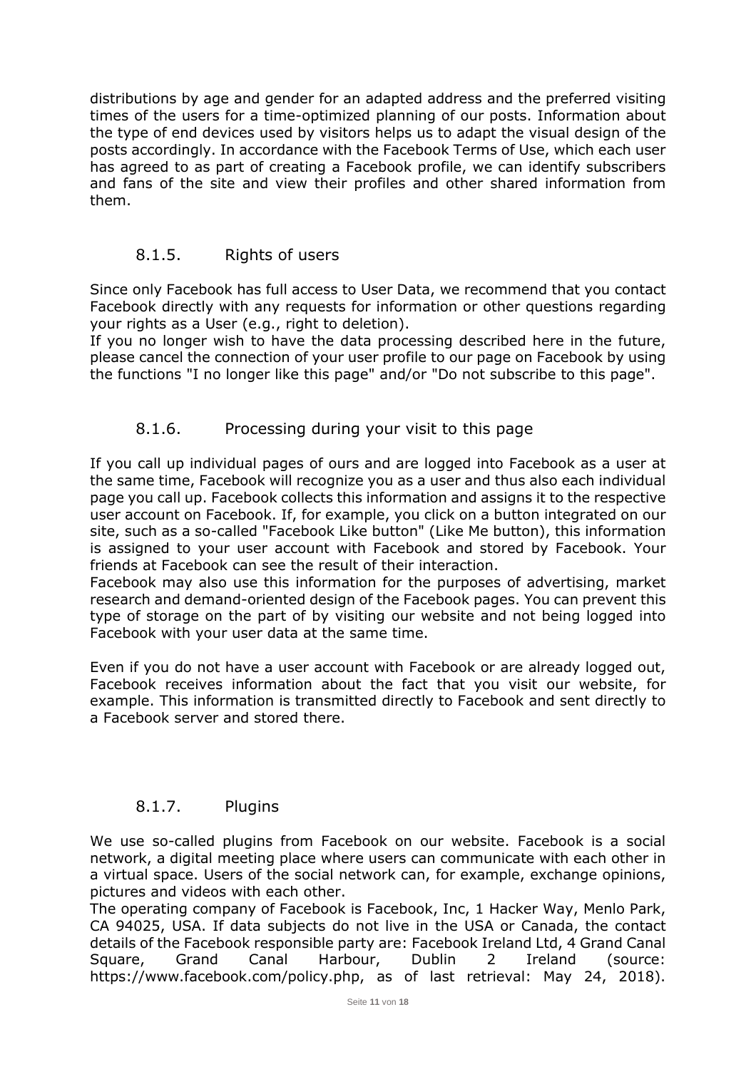distributions by age and gender for an adapted address and the preferred visiting times of the users for a time-optimized planning of our posts. Information about the type of end devices used by visitors helps us to adapt the visual design of the posts accordingly. In accordance with the Facebook Terms of Use, which each user has agreed to as part of creating a Facebook profile, we can identify subscribers and fans of the site and view their profiles and other shared information from them.

#### 8.1.5. Rights of users

<span id="page-10-0"></span>Since only Facebook has full access to User Data, we recommend that you contact Facebook directly with any requests for information or other questions regarding your rights as a User (e.g., right to deletion).

If you no longer wish to have the data processing described here in the future, please cancel the connection of your user profile to our page on Facebook by using the functions "I no longer like this page" and/or "Do not subscribe to this page".

#### 8.1.6. Processing during your visit to this page

<span id="page-10-1"></span>If you call up individual pages of ours and are logged into Facebook as a user at the same time, Facebook will recognize you as a user and thus also each individual page you call up. Facebook collects this information and assigns it to the respective user account on Facebook. If, for example, you click on a button integrated on our site, such as a so-called "Facebook Like button" (Like Me button), this information is assigned to your user account with Facebook and stored by Facebook. Your friends at Facebook can see the result of their interaction.

Facebook may also use this information for the purposes of advertising, market research and demand-oriented design of the Facebook pages. You can prevent this type of storage on the part of by visiting our website and not being logged into Facebook with your user data at the same time.

Even if you do not have a user account with Facebook or are already logged out, Facebook receives information about the fact that you visit our website, for example. This information is transmitted directly to Facebook and sent directly to a Facebook server and stored there.

#### 8.1.7. Plugins

<span id="page-10-2"></span>We use so-called plugins from Facebook on our website. Facebook is a social network, a digital meeting place where users can communicate with each other in a virtual space. Users of the social network can, for example, exchange opinions, pictures and videos with each other.

The operating company of Facebook is Facebook, Inc, 1 Hacker Way, Menlo Park, CA 94025, USA. If data subjects do not live in the USA or Canada, the contact details of the Facebook responsible party are: Facebook Ireland Ltd, 4 Grand Canal Square, Grand Canal Harbour, Dublin 2 Ireland (source: https://www.facebook.com/policy.php, as of last retrieval: May 24, 2018).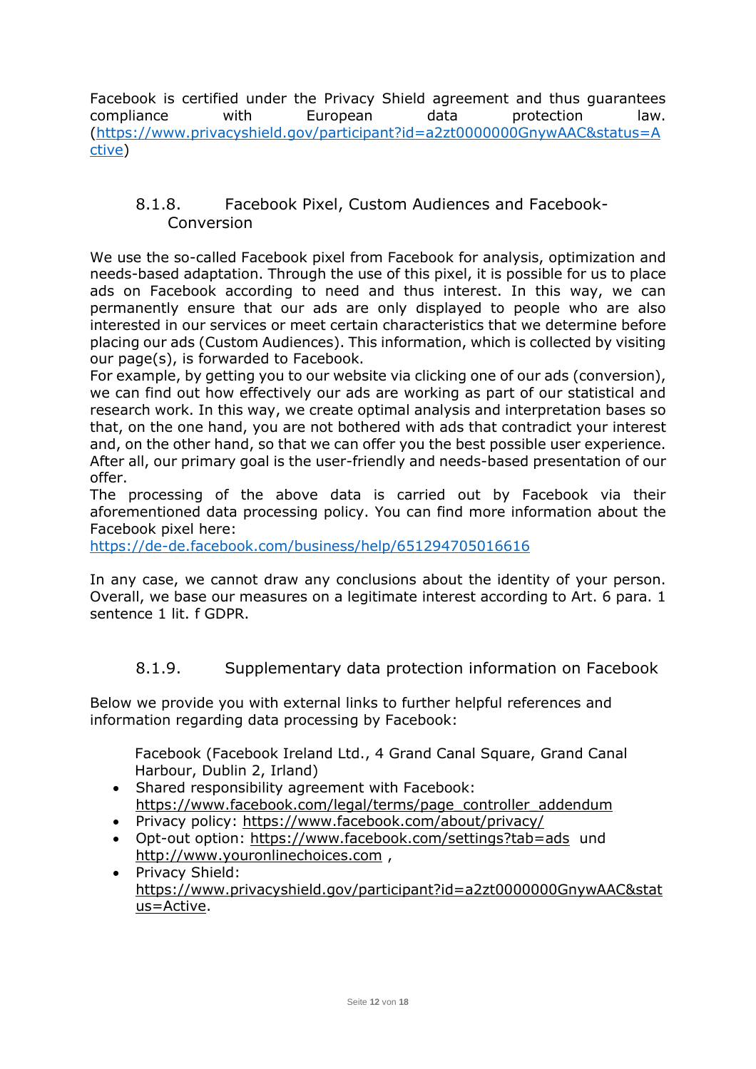Facebook is certified under the Privacy Shield agreement and thus guarantees compliance with European data protection law. [\(https://www.privacyshield.gov/participant?id=a2zt0000000GnywAAC&status=A](https://www.privacyshield.gov/participant?id=a2zt0000000GnywAAC&status=Active) [ctive\)](https://www.privacyshield.gov/participant?id=a2zt0000000GnywAAC&status=Active)

#### <span id="page-11-0"></span>8.1.8. Facebook Pixel, Custom Audiences and Facebook-Conversion

We use the so-called Facebook pixel from Facebook for analysis, optimization and needs-based adaptation. Through the use of this pixel, it is possible for us to place ads on Facebook according to need and thus interest. In this way, we can permanently ensure that our ads are only displayed to people who are also interested in our services or meet certain characteristics that we determine before placing our ads (Custom Audiences). This information, which is collected by visiting our page(s), is forwarded to Facebook.

For example, by getting you to our website via clicking one of our ads (conversion), we can find out how effectively our ads are working as part of our statistical and research work. In this way, we create optimal analysis and interpretation bases so that, on the one hand, you are not bothered with ads that contradict your interest and, on the other hand, so that we can offer you the best possible user experience. After all, our primary goal is the user-friendly and needs-based presentation of our offer.

The processing of the above data is carried out by Facebook via their aforementioned data processing policy. You can find more information about the Facebook pixel here:

<https://de-de.facebook.com/business/help/651294705016616>

In any case, we cannot draw any conclusions about the identity of your person. Overall, we base our measures on a legitimate interest according to Art. 6 para. 1 sentence 1 lit. f GDPR.

# 8.1.9. Supplementary data protection information on Facebook

<span id="page-11-1"></span>Below we provide you with external links to further helpful references and information regarding data processing by Facebook:

Facebook (Facebook Ireland Ltd., 4 Grand Canal Square, Grand Canal Harbour, Dublin 2, Irland)

- Shared responsibility agreement with Facebook: [https://www.facebook.com/legal/terms/page\\_controller\\_addendum](https://www.facebook.com/legal/terms/page_controller_addendum)
- Privacy policy: <https://www.facebook.com/about/privacy/>
- Opt-out option: <https://www.facebook.com/settings?tab=ads> und [http://www.youronlinechoices.com](http://www.youronlinechoices.com/),
- Privacy Shield: [https://www.privacyshield.gov/participant?id=a2zt0000000GnywAAC&stat](https://www.privacyshield.gov/participant?id=a2zt0000000GnywAAC&status=Active) [us=Active.](https://www.privacyshield.gov/participant?id=a2zt0000000GnywAAC&status=Active)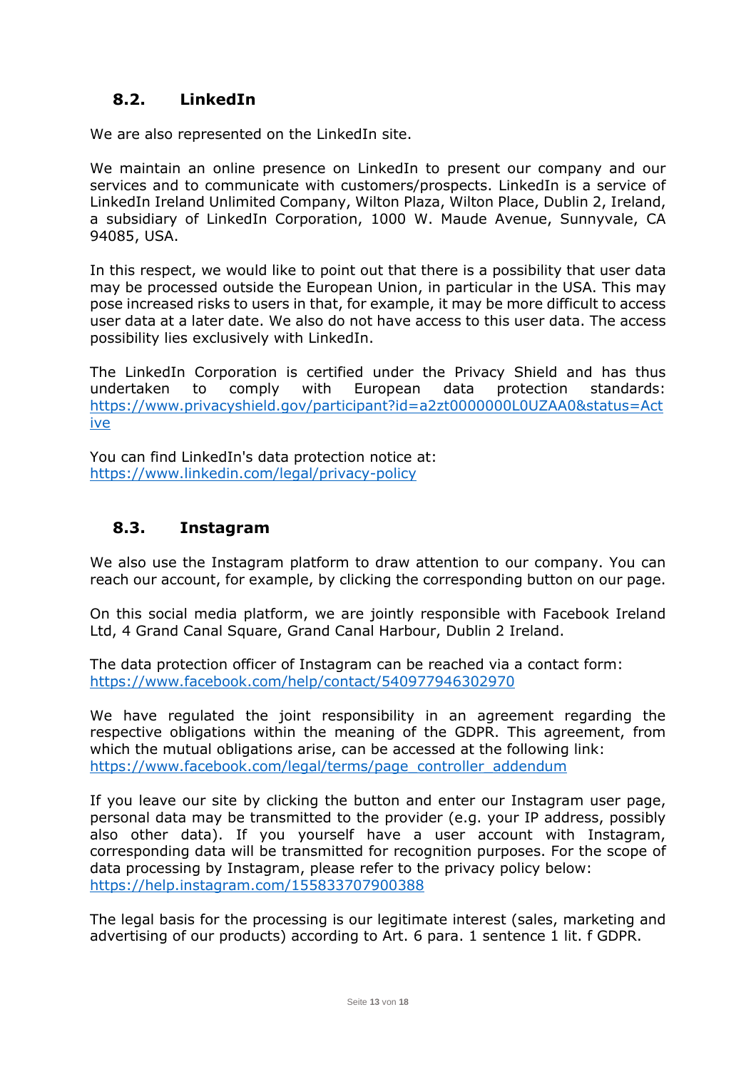# <span id="page-12-0"></span>**8.2. LinkedIn**

We are also represented on the LinkedIn site.

We maintain an online presence on LinkedIn to present our company and our services and to communicate with customers/prospects. LinkedIn is a service of LinkedIn Ireland Unlimited Company, Wilton Plaza, Wilton Place, Dublin 2, Ireland, a subsidiary of LinkedIn Corporation, 1000 W. Maude Avenue, Sunnyvale, CA 94085, USA.

In this respect, we would like to point out that there is a possibility that user data may be processed outside the European Union, in particular in the USA. This may pose increased risks to users in that, for example, it may be more difficult to access user data at a later date. We also do not have access to this user data. The access possibility lies exclusively with LinkedIn.

The LinkedIn Corporation is certified under the Privacy Shield and has thus undertaken to comply with European data protection standards: [https://www.privacyshield.gov/participant?id=a2zt0000000L0UZAA0&status=Act](https://www.privacyshield.gov/participant?id=a2zt0000000L0UZAA0&status=Active) [ive](https://www.privacyshield.gov/participant?id=a2zt0000000L0UZAA0&status=Active)

You can find LinkedIn's data protection notice at: <https://www.linkedin.com/legal/privacy-policy>

# <span id="page-12-1"></span>**8.3. Instagram**

We also use the Instagram platform to draw attention to our company. You can reach our account, for example, by clicking the corresponding button on our page.

On this social media platform, we are jointly responsible with Facebook Ireland Ltd, 4 Grand Canal Square, Grand Canal Harbour, Dublin 2 Ireland.

The data protection officer of Instagram can be reached via a contact form: <https://www.facebook.com/help/contact/540977946302970>

We have regulated the joint responsibility in an agreement regarding the respective obligations within the meaning of the GDPR. This agreement, from which the mutual obligations arise, can be accessed at the following link: [https://www.facebook.com/legal/terms/page\\_controller\\_addendum](https://www.facebook.com/legal/terms/page_controller_addendum)

If you leave our site by clicking the button and enter our Instagram user page, personal data may be transmitted to the provider (e.g. your IP address, possibly also other data). If you yourself have a user account with Instagram, corresponding data will be transmitted for recognition purposes. For the scope of data processing by Instagram, please refer to the privacy policy below: <https://help.instagram.com/155833707900388>

The legal basis for the processing is our legitimate interest (sales, marketing and advertising of our products) according to Art. 6 para. 1 sentence 1 lit. f GDPR.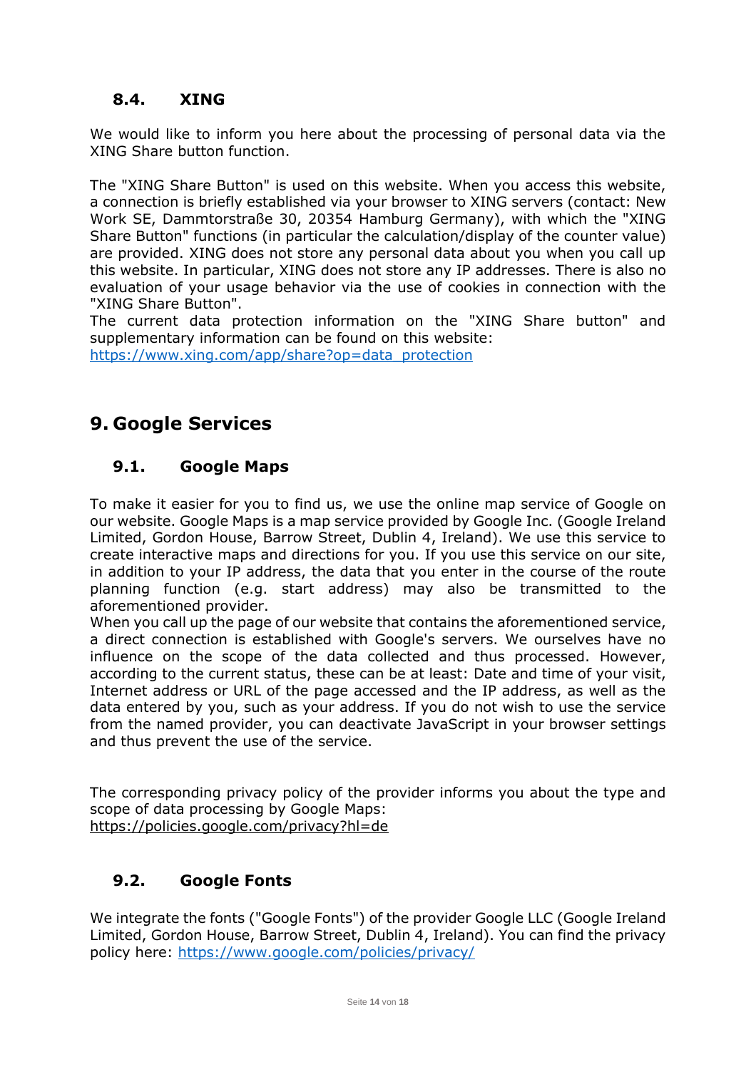# <span id="page-13-0"></span>**8.4. XING**

We would like to inform you here about the processing of personal data via the XING Share button function.

The "XING Share Button" is used on this website. When you access this website, a connection is briefly established via your browser to XING servers (contact: New Work SE, Dammtorstraße 30, 20354 Hamburg Germany), with which the "XING Share Button" functions (in particular the calculation/display of the counter value) are provided. XING does not store any personal data about you when you call up this website. In particular, XING does not store any IP addresses. There is also no evaluation of your usage behavior via the use of cookies in connection with the "XING Share Button".

The current data protection information on the "XING Share button" and supplementary information can be found on this website:

[https://www.xing.com/app/share?op=data\\_protection](https://www.xing.com/app/share?op=data_protection)

# <span id="page-13-1"></span>**9. Google Services**

# <span id="page-13-2"></span>**9.1. Google Maps**

To make it easier for you to find us, we use the online map service of Google on our website. Google Maps is a map service provided by Google Inc. (Google Ireland Limited, Gordon House, Barrow Street, Dublin 4, Ireland). We use this service to create interactive maps and directions for you. If you use this service on our site, in addition to your IP address, the data that you enter in the course of the route planning function (e.g. start address) may also be transmitted to the aforementioned provider.

When you call up the page of our website that contains the aforementioned service, a direct connection is established with Google's servers. We ourselves have no influence on the scope of the data collected and thus processed. However, according to the current status, these can be at least: Date and time of your visit, Internet address or URL of the page accessed and the IP address, as well as the data entered by you, such as your address. If you do not wish to use the service from the named provider, you can deactivate JavaScript in your browser settings and thus prevent the use of the service.

The corresponding privacy policy of the provider informs you about the type and scope of data processing by Google Maps: <https://policies.google.com/privacy?hl=de>

# <span id="page-13-3"></span>**9.2. Google Fonts**

We integrate the fonts ("Google Fonts") of the provider Google LLC (Google Ireland Limited, Gordon House, Barrow Street, Dublin 4, Ireland). You can find the privacy policy here: <https://www.google.com/policies/privacy/>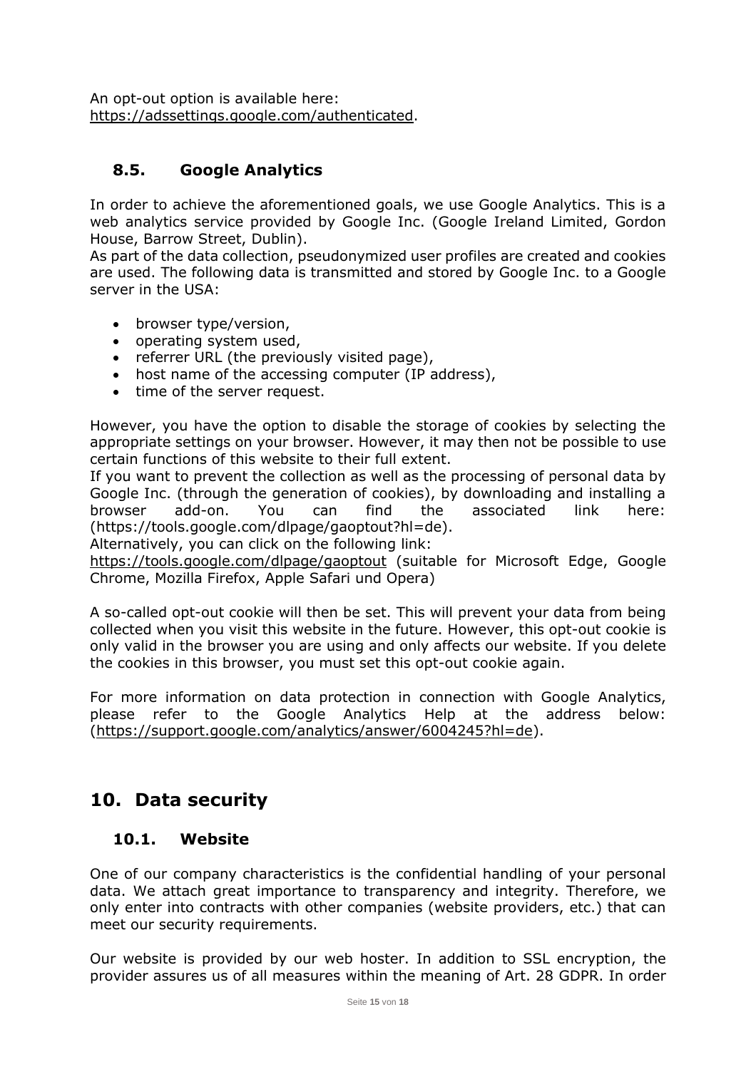An opt-out option is available here: [https://adssettings.google.com/authenticated.](https://adssettings.google.com/authenticated)

# <span id="page-14-0"></span>**8.5. Google Analytics**

In order to achieve the aforementioned goals, we use Google Analytics. This is a web analytics service provided by Google Inc. (Google Ireland Limited, Gordon House, Barrow Street, Dublin).

As part of the data collection, pseudonymized user profiles are created and cookies are used. The following data is transmitted and stored by Google Inc. to a Google server in the USA:

- browser type/version,
- operating system used,
- referrer URL (the previously visited page),
- host name of the accessing computer (IP address),
- time of the server request.

However, you have the option to disable the storage of cookies by selecting the appropriate settings on your browser. However, it may then not be possible to use certain functions of this website to their full extent.

If you want to prevent the collection as well as the processing of personal data by Google Inc. (through the generation of cookies), by downloading and installing a browser add-on. You can find the associated link here: (https://tools.google.com/dlpage/gaoptout?hl=de).

Alternatively, you can click on the following link:

<https://tools.google.com/dlpage/gaoptout> (suitable for Microsoft Edge, Google Chrome, Mozilla Firefox, Apple Safari und Opera)

A so-called opt-out cookie will then be set. This will prevent your data from being collected when you visit this website in the future. However, this opt-out cookie is only valid in the browser you are using and only affects our website. If you delete the cookies in this browser, you must set this opt-out cookie again.

For more information on data protection in connection with Google Analytics, please refer to the Google Analytics Help at the address below: [\(https://support.google.com/analytics/answer/6004245?hl=de\)](https://support.google.com/analytics/answer/6004245?hl=de).

# <span id="page-14-1"></span>**10. Data security**

#### <span id="page-14-2"></span>**10.1. Website**

One of our company characteristics is the confidential handling of your personal data. We attach great importance to transparency and integrity. Therefore, we only enter into contracts with other companies (website providers, etc.) that can meet our security requirements.

Our website is provided by our web hoster. In addition to SSL encryption, the provider assures us of all measures within the meaning of Art. 28 GDPR. In order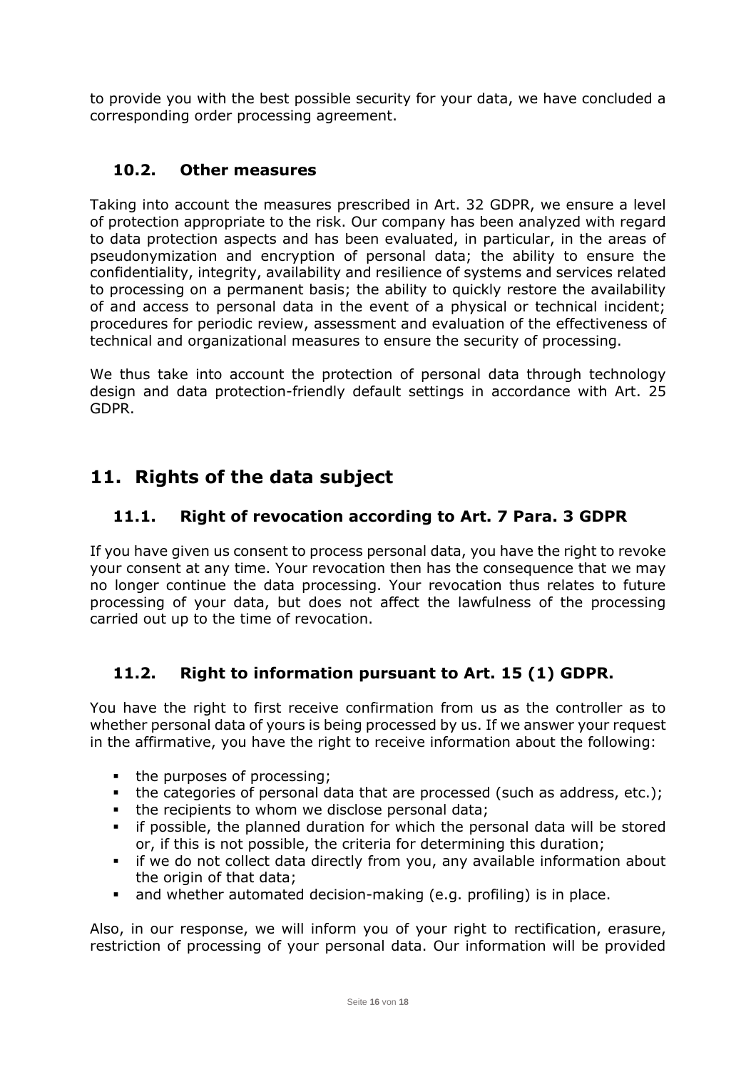to provide you with the best possible security for your data, we have concluded a corresponding order processing agreement.

### <span id="page-15-0"></span>**10.2. Other measures**

Taking into account the measures prescribed in Art. 32 GDPR, we ensure a level of protection appropriate to the risk. Our company has been analyzed with regard to data protection aspects and has been evaluated, in particular, in the areas of pseudonymization and encryption of personal data; the ability to ensure the confidentiality, integrity, availability and resilience of systems and services related to processing on a permanent basis; the ability to quickly restore the availability of and access to personal data in the event of a physical or technical incident; procedures for periodic review, assessment and evaluation of the effectiveness of technical and organizational measures to ensure the security of processing.

We thus take into account the protection of personal data through technology design and data protection-friendly default settings in accordance with Art. 25 GDPR.

# <span id="page-15-1"></span>**11. Rights of the data subject**

# <span id="page-15-2"></span>**11.1. Right of revocation according to Art. 7 Para. 3 GDPR**

If you have given us consent to process personal data, you have the right to revoke your consent at any time. Your revocation then has the consequence that we may no longer continue the data processing. Your revocation thus relates to future processing of your data, but does not affect the lawfulness of the processing carried out up to the time of revocation.

# <span id="page-15-3"></span>**11.2. Right to information pursuant to Art. 15 (1) GDPR.**

You have the right to first receive confirmation from us as the controller as to whether personal data of yours is being processed by us. If we answer your request in the affirmative, you have the right to receive information about the following:

- the purposes of processing;
- the categories of personal data that are processed (such as address, etc.);
- the recipients to whom we disclose personal data;
- if possible, the planned duration for which the personal data will be stored or, if this is not possible, the criteria for determining this duration;
- **.** if we do not collect data directly from you, any available information about the origin of that data;
- and whether automated decision-making (e.g. profiling) is in place.

Also, in our response, we will inform you of your right to rectification, erasure, restriction of processing of your personal data. Our information will be provided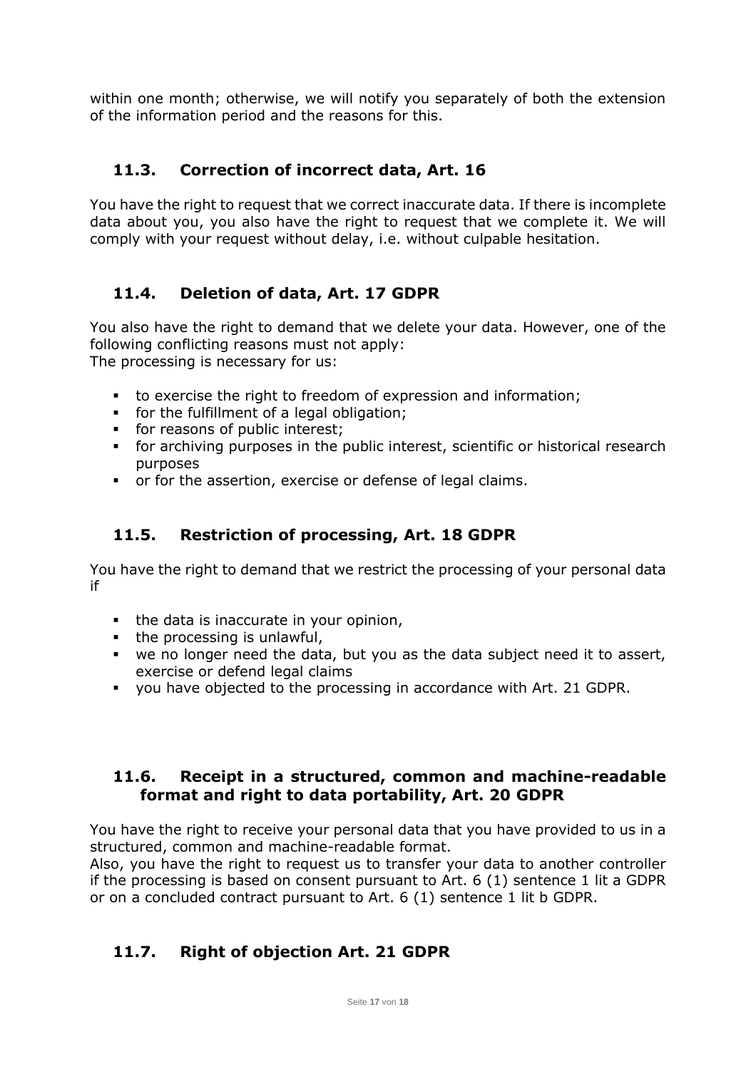within one month; otherwise, we will notify you separately of both the extension of the information period and the reasons for this.

# <span id="page-16-0"></span>**11.3. Correction of incorrect data, Art. 16**

You have the right to request that we correct inaccurate data. If there is incomplete data about you, you also have the right to request that we complete it. We will comply with your request without delay, i.e. without culpable hesitation.

# <span id="page-16-1"></span>**11.4. Deletion of data, Art. 17 GDPR**

You also have the right to demand that we delete your data. However, one of the following conflicting reasons must not apply: The processing is necessary for us:

- to exercise the right to freedom of expression and information;
- for the fulfillment of a legal obligation;
- **•** for reasons of public interest;
- for archiving purposes in the public interest, scientific or historical research purposes
- or for the assertion, exercise or defense of legal claims.

# <span id="page-16-2"></span>**11.5. Restriction of processing, Art. 18 GDPR**

You have the right to demand that we restrict the processing of your personal data if

- the data is inaccurate in your opinion,
- the processing is unlawful,
- we no longer need the data, but you as the data subject need it to assert, exercise or defend legal claims
- you have objected to the processing in accordance with Art. 21 GDPR.

#### <span id="page-16-3"></span>**11.6. Receipt in a structured, common and machine-readable format and right to data portability, Art. 20 GDPR**

You have the right to receive your personal data that you have provided to us in a structured, common and machine-readable format.

Also, you have the right to request us to transfer your data to another controller if the processing is based on consent pursuant to Art. 6 (1) sentence 1 lit a GDPR or on a concluded contract pursuant to Art. 6 (1) sentence 1 lit b GDPR.

# <span id="page-16-4"></span>**11.7. Right of objection Art. 21 GDPR**